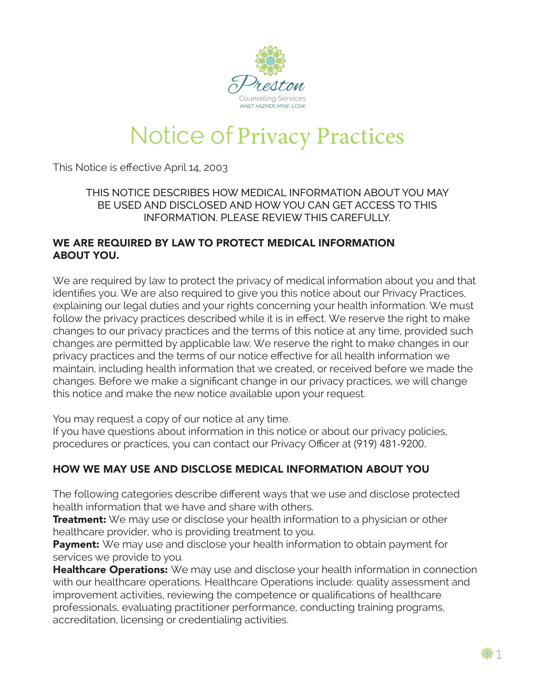

# **Notice of Privacy Practices**

This Notice is effective April 14, 2003

#### THIS NOTICE DESCRIBES HOW MEDICAL INFORMATION ABOUT YOU MAY BE USED AND DISCLOSED AND HOW YOU CAN GET ACCESS TO THIS INFORMATION. PLEASE REVIEW THIS CAREFULLY.

#### WE ARE REQUIRED BY LAW TO PROTECT MEDICAL INFORMATION ABOUT YOU.

We are required by law to protect the privacy of medical information about you and that identifies you. We are also required to give you this notice about our Privacy Practices, explaining our legal duties and your rights concerning your health information. We must follow the privacy practices described while it is in effect. We reserve the right to make changes to our privacy practices and the terms of this notice at any time, provided such changes are permitted by applicable law. We reserve the right to make changes in our privacy practices and the terms of our notice effective for all health information we maintain, including health information that we created, or received before we made the changes. Before we make a significant change in our privacy practices, we will change this notice and make the new notice available upon your request.

You may request a copy of our notice at any time.

If you have questions about information in this notice or about our privacy policies, procedures or practices, you can contact our Privacy Officer at (919) 481-9200.

## HOW WE MAY USE AND DISCLOSE MEDICAL INFORMATION ABOUT YOU

The following categories describe different ways that we use and disclose protected health information that we have and share with others.

**Treatment:** We may use or disclose your health information to a physician or other healthcare provider, who is providing treatment to you.

Payment: We may use and disclose your health information to obtain payment for services we provide to you.

**Healthcare Operations:** We may use and disclose your health information in connection with our healthcare operations. Healthcare Operations include: quality assessment and improvement activities, reviewing the competence or qualifications of healthcare professionals, evaluating practitioner performance, conducting training programs, accreditation, licensing or credentialing activities.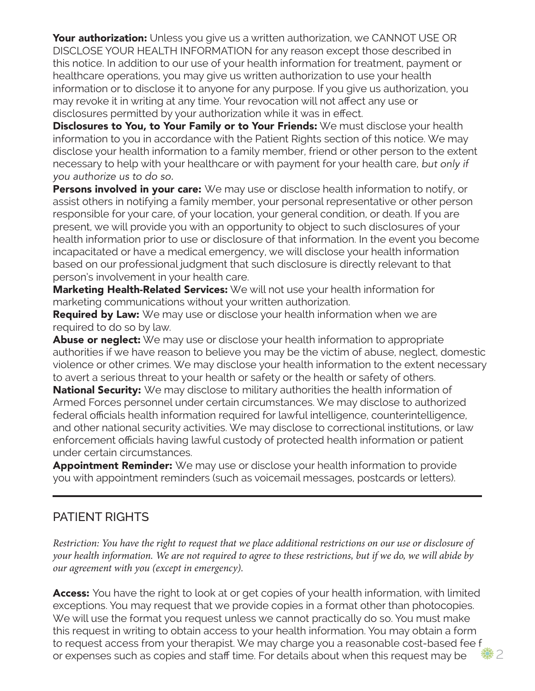Your authorization: Unless you give us a written authorization, we CANNOT USE OR DISCLOSE YOUR HEALTH INFORMATION for any reason except those described in this notice. In addition to our use of your health information for treatment, payment or healthcare operations, you may give us written authorization to use your health information or to disclose it to anyone for any purpose. If you give us authorization, you may revoke it in writing at any time. Your revocation will not affect any use or disclosures permitted by your authorization while it was in effect.

Disclosures to You, to Your Family or to Your Friends: We must disclose your health information to you in accordance with the Patient Rights section of this notice. We may disclose your health information to a family member, friend or other person to the extent necessary to help with your healthcare or with payment for your health care, *but only if you authorize us to do so.*

**Persons involved in your care:** We may use or disclose health information to notify, or assist others in notifying a family member, your personal representative or other person responsible for your care, of your location, your general condition, or death. If you are present, we will provide you with an opportunity to object to such disclosures of your health information prior to use or disclosure of that information. In the event you become incapacitated or have a medical emergency, we will disclose your health information based on our professional judgment that such disclosure is directly relevant to that person's involvement in your health care.

Marketing Health-Related Services: We will not use your health information for marketing communications without your written authorization.

**Required by Law:** We may use or disclose your health information when we are required to do so by law.

**Abuse or neglect:** We may use or disclose your health information to appropriate authorities if we have reason to believe you may be the victim of abuse, neglect, domestic violence or other crimes. We may disclose your health information to the extent necessary to avert a serious threat to your health or safety or the health or safety of others.

National Security: We may disclose to military authorities the health information of Armed Forces personnel under certain circumstances. We may disclose to authorized federal officials health information required for lawful intelligence, counterintelligence, and other national security activities. We may disclose to correctional institutions, or law enforcement officials having lawful custody of protected health information or patient under certain circumstances.

**Appointment Reminder:** We may use or disclose your health information to provide you with appointment reminders (such as voicemail messages, postcards or letters).

## PATIENT RIGHTS

*Restriction: You have the right to request that we place additional restrictions on our use or disclosure of your health information. We are not required to agree to these restrictions, but if we do, we will abide by our agreement with you (except in emergency).*

Access: You have the right to look at or get copies of your health information, with limited exceptions. You may request that we provide copies in a format other than photocopies. We will use the format you request unless we cannot practically do so. You must make this request in writing to obtain access to your health information. You may obtain a form to request access from your therapist. We may charge you a reasonable cost-based fee f or expenses such as copies and staff time. For details about when this request may be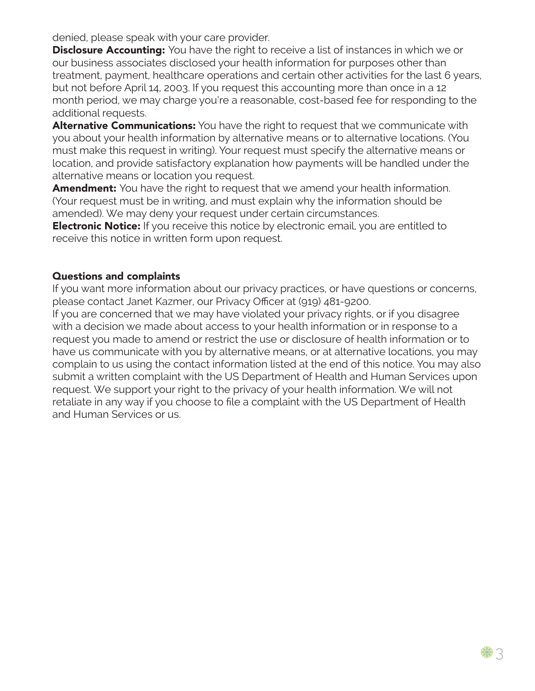denied, please speak with your care provider.

**Disclosure Accounting:** You have the right to receive a list of instances in which we or our business associates disclosed your health information for purposes other than treatment, payment, healthcare operations and certain other activities for the last 6 years, but not before April 14, 2003. If you request this accounting more than once in a 12 month period, we may charge you're a reasonable, cost-based fee for responding to the additional requests.

**Alternative Communications:** You have the right to request that we communicate with you about your health information by alternative means or to alternative locations. (You must make this request in writing). Your request must specify the alternative means or location, and provide satisfactory explanation how payments will be handled under the alternative means or location you request.

**Amendment:** You have the right to request that we amend your health information. (Your request must be in writing, and must explain why the information should be amended). We may deny your request under certain circumstances.

**Electronic Notice:** If you receive this notice by electronic email, you are entitled to receive this notice in written form upon request.

#### Questions and complaints

If you want more information about our privacy practices, or have questions or concerns, please contact Janet Kazmer, our Privacy Officer at (919) 481-9200.

If you are concerned that we may have violated your privacy rights, or if you disagree with a decision we made about access to your health information or in response to a request you made to amend or restrict the use or disclosure of health information or to have us communicate with you by alternative means, or at alternative locations, you may complain to us using the contact information listed at the end of this notice. You may also submit a written complaint with the US Department of Health and Human Services upon request. We support your right to the privacy of your health information. We will not retaliate in any way if you choose to file a complaint with the US Department of Health and Human Services or us.